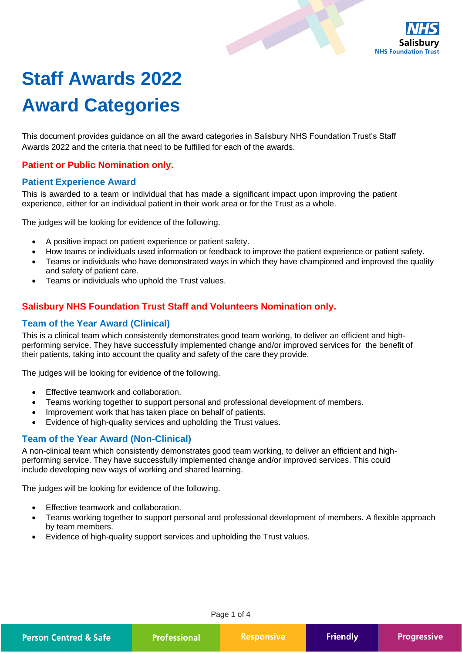

# **Staff Awards 2022 Award Categories**

This document provides guidance on all the award categories in Salisbury NHS Foundation Trust's Staff Awards 2022 and the criteria that need to be fulfilled for each of the awards.

## **Patient or Public Nomination only.**

#### **Patient Experience Award**

This is awarded to a team or individual that has made a significant impact upon improving the patient experience, either for an individual patient in their work area or for the Trust as a whole.

The judges will be looking for evidence of the following.

- A positive impact on patient experience or patient safety.
- How teams or individuals used information or feedback to improve the patient experience or patient safety.
- Teams or individuals who have demonstrated ways in which they have championed and improved the quality and safety of patient care.
- Teams or individuals who uphold the Trust values.

## **Salisbury NHS Foundation Trust Staff and Volunteers Nomination only.**

## **Team of the Year Award (Clinical)**

This is a clinical team which consistently demonstrates good team working, to deliver an efficient and highperforming service. They have successfully implemented change and/or improved services for the benefit of their patients, taking into account the quality and safety of the care they provide.

The judges will be looking for evidence of the following.

- Effective teamwork and collaboration.
- Teams working together to support personal and professional development of members.
- Improvement work that has taken place on behalf of patients.
- Evidence of high-quality services and upholding the Trust values.

## **Team of the Year Award (Non-Clinical)**

A non-clinical team which consistently demonstrates good team working, to deliver an efficient and highperforming service. They have successfully implemented change and/or improved services. This could include developing new ways of working and shared learning.

The judges will be looking for evidence of the following.

- Effective teamwork and collaboration.
- Teams working together to support personal and professional development of members. A flexible approach by team members.
- Evidence of high-quality support services and upholding the Trust values.

Page 1 of 4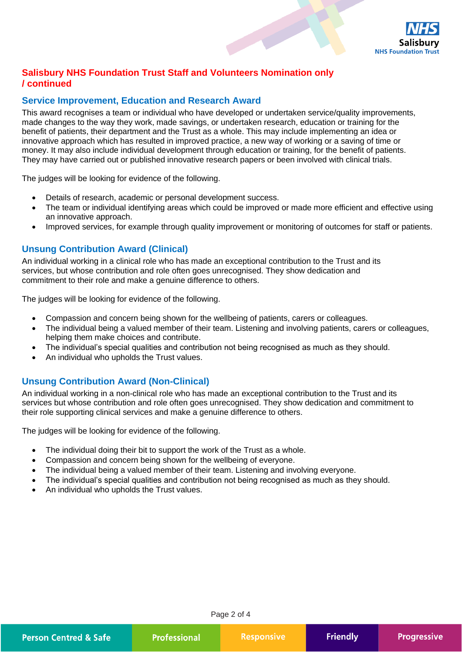

# **Salisbury NHS Foundation Trust Staff and Volunteers Nomination only / continued**

## **Service Improvement, Education and Research Award**

This award recognises a team or individual who have developed or undertaken service/quality improvements, made changes to the way they work, made savings, or undertaken research, education or training for the benefit of patients, their department and the Trust as a whole. This may include implementing an idea or innovative approach which has resulted in improved practice, a new way of working or a saving of time or money. It may also include individual development through education or training, for the benefit of patients. They may have carried out or published innovative research papers or been involved with clinical trials.

The judges will be looking for evidence of the following.

- Details of research, academic or personal development success.
- The team or individual identifying areas which could be improved or made more efficient and effective using an innovative approach.
- Improved services, for example through quality improvement or monitoring of outcomes for staff or patients.

## **Unsung Contribution Award (Clinical)**

An individual working in a clinical role who has made an exceptional contribution to the Trust and its services, but whose contribution and role often goes unrecognised. They show dedication and commitment to their role and make a genuine difference to others.

The judges will be looking for evidence of the following.

- Compassion and concern being shown for the wellbeing of patients, carers or colleagues.
- The individual being a valued member of their team. Listening and involving patients, carers or colleagues, helping them make choices and contribute.
- The individual's special qualities and contribution not being recognised as much as they should.
- An individual who upholds the Trust values.

## **Unsung Contribution Award (Non-Clinical)**

An individual working in a non-clinical role who has made an exceptional contribution to the Trust and its services but whose contribution and role often goes unrecognised. They show dedication and commitment to their role supporting clinical services and make a genuine difference to others.

The judges will be looking for evidence of the following.

- The individual doing their bit to support the work of the Trust as a whole.
- Compassion and concern being shown for the wellbeing of everyone.
- The individual being a valued member of their team. Listening and involving everyone.
- The individual's special qualities and contribution not being recognised as much as they should.
- An individual who upholds the Trust values.

Page 2 of 4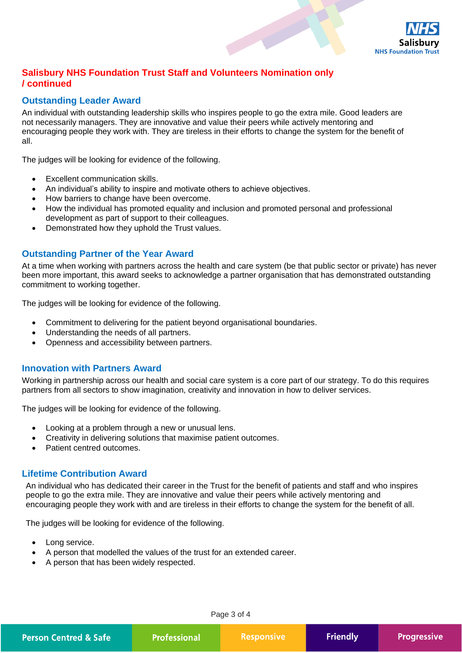

# **Salisbury NHS Foundation Trust Staff and Volunteers Nomination only / continued**

## **Outstanding Leader Award**

An individual with outstanding leadership skills who inspires people to go the extra mile. Good leaders are not necessarily managers. They are innovative and value their peers while actively mentoring and encouraging people they work with. They are tireless in their efforts to change the system for the benefit of all.

The judges will be looking for evidence of the following.

- Excellent communication skills.
- An individual's ability to inspire and motivate others to achieve objectives.
- How barriers to change have been overcome.
- How the individual has promoted equality and inclusion and promoted personal and professional development as part of support to their colleagues.
- Demonstrated how they uphold the Trust values.

## **Outstanding Partner of the Year Award**

At a time when working with partners across the health and care system (be that public sector or private) has never been more important, this award seeks to acknowledge a partner organisation that has demonstrated outstanding commitment to working together.

The judges will be looking for evidence of the following.

- Commitment to delivering for the patient beyond organisational boundaries.
- Understanding the needs of all partners.
- Openness and accessibility between partners.

#### **Innovation with Partners Award**

Working in partnership across our health and social care system is a core part of our strategy. To do this requires partners from all sectors to show imagination, creativity and innovation in how to deliver services.

The judges will be looking for evidence of the following.

- Looking at a problem through a new or unusual lens.
- Creativity in delivering solutions that maximise patient outcomes.
- Patient centred outcomes.

## **Lifetime Contribution Award**

An individual who has dedicated their career in the Trust for the benefit of patients and staff and who inspires people to go the extra mile. They are innovative and value their peers while actively mentoring and encouraging people they work with and are tireless in their efforts to change the system for the benefit of all.

The judges will be looking for evidence of the following.

- Long service.
- A person that modelled the values of the trust for an extended career.
- A person that has been widely respected.

Page 3 of 4